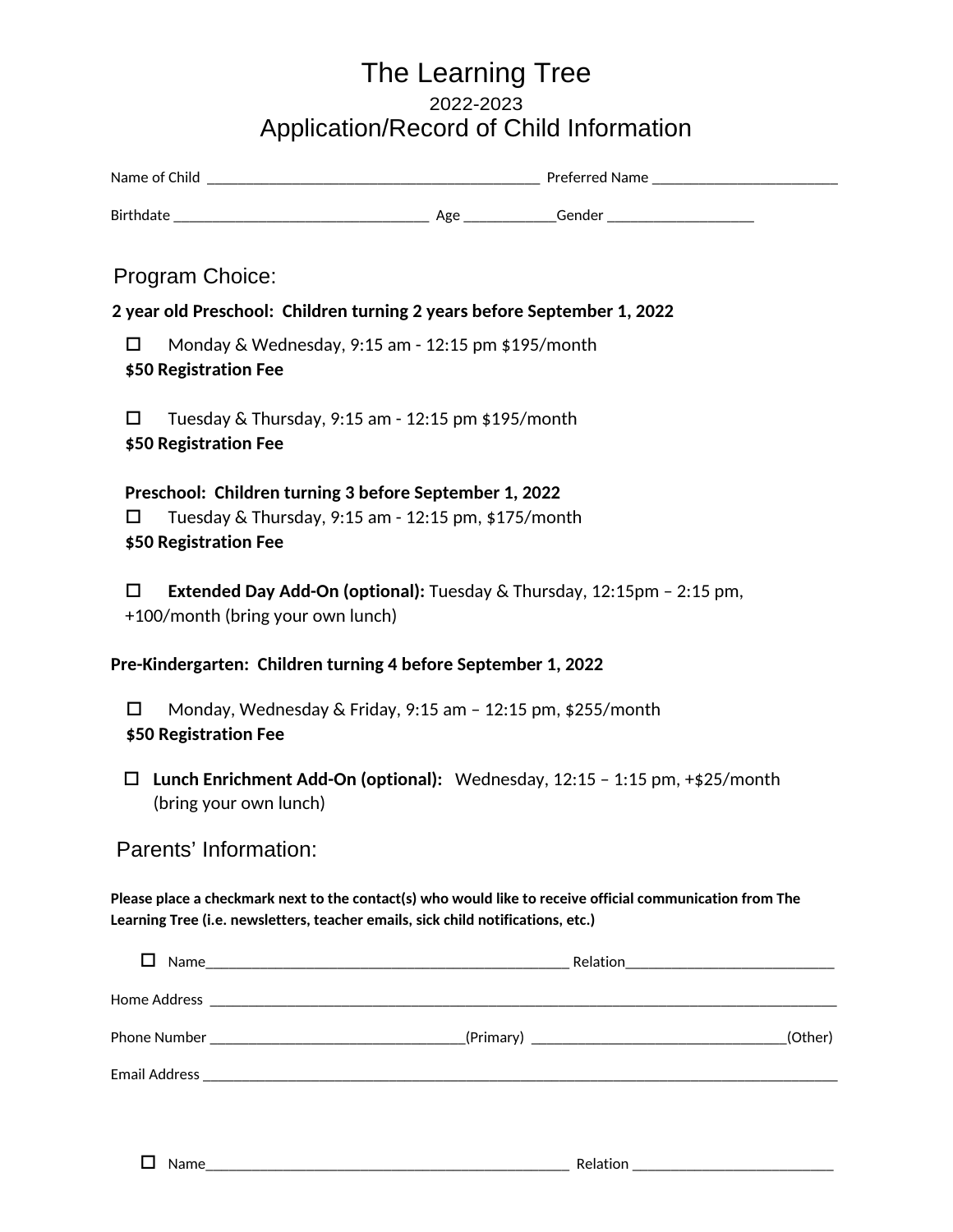## The Learning Tree 2022-2023 Application/Record of Child Information

| Program Choice:                                                                                                                                                                               |                                                                             |
|-----------------------------------------------------------------------------------------------------------------------------------------------------------------------------------------------|-----------------------------------------------------------------------------|
| 2 year old Preschool: Children turning 2 years before September 1, 2022                                                                                                                       |                                                                             |
| П<br>Monday & Wednesday, 9:15 am - 12:15 pm \$195/month<br><b>\$50 Registration Fee</b>                                                                                                       |                                                                             |
| □<br>Tuesday & Thursday, 9:15 am - 12:15 pm \$195/month<br>\$50 Registration Fee                                                                                                              |                                                                             |
| Preschool: Children turning 3 before September 1, 2022<br>Tuesday & Thursday, 9:15 am - 12:15 pm, \$175/month<br>Ħ<br>\$50 Registration Fee                                                   |                                                                             |
| Extended Day Add-On (optional): Tuesday & Thursday, 12:15pm - 2:15 pm,<br>П<br>+100/month (bring your own lunch)                                                                              |                                                                             |
| Pre-Kindergarten: Children turning 4 before September 1, 2022                                                                                                                                 |                                                                             |
| Monday, Wednesday & Friday, 9:15 am - 12:15 pm, \$255/month<br>П<br>\$50 Registration Fee                                                                                                     |                                                                             |
| $\Box$<br>(bring your own lunch)                                                                                                                                                              | Lunch Enrichment Add-On (optional): Wednesday, 12:15 - 1:15 pm, +\$25/month |
| Parents' Information:                                                                                                                                                                         |                                                                             |
| Please place a checkmark next to the contact(s) who would like to receive official communication from The<br>Learning Tree (i.e. newsletters, teacher emails, sick child notifications, etc.) |                                                                             |
|                                                                                                                                                                                               |                                                                             |
|                                                                                                                                                                                               |                                                                             |
|                                                                                                                                                                                               | (Other)                                                                     |

Email Address \_\_\_\_\_\_\_\_\_\_\_\_\_\_\_\_\_\_\_\_\_\_\_\_\_\_\_\_\_\_\_\_\_\_\_\_\_\_\_\_\_\_\_\_\_\_\_\_\_\_\_\_\_\_\_\_\_\_\_\_\_\_\_\_\_\_\_\_\_\_\_\_\_\_\_\_\_\_\_\_\_\_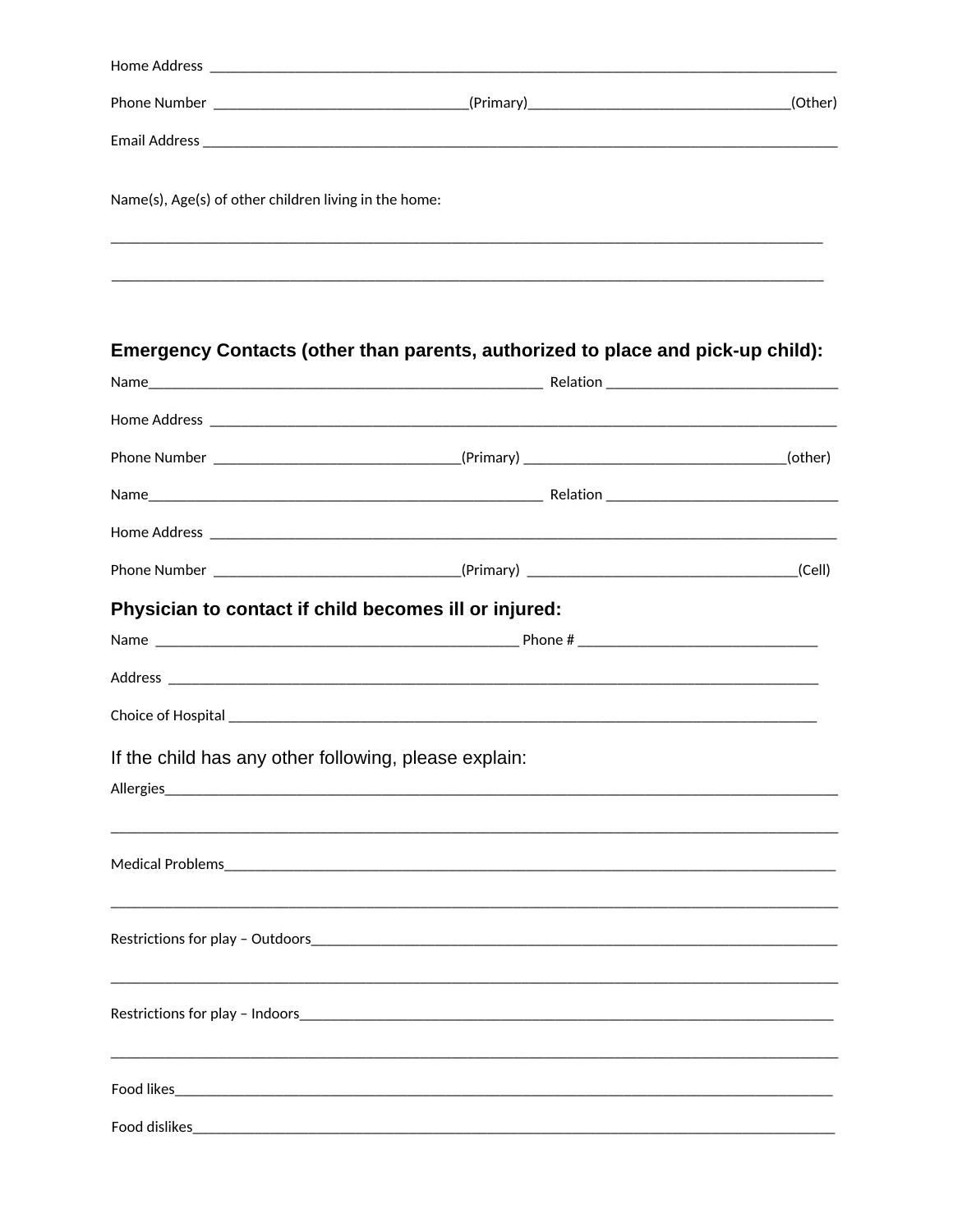|                                                       | Home Address and the contract of the contract of the contract of the contract of the contract of the contract of the contract of the contract of the contract of the contract of the contract of the contract of the contract |  |
|-------------------------------------------------------|-------------------------------------------------------------------------------------------------------------------------------------------------------------------------------------------------------------------------------|--|
|                                                       | Phone Number ___________________________________(Primary)_________________________________(Other)                                                                                                                             |  |
|                                                       |                                                                                                                                                                                                                               |  |
| Name(s), Age(s) of other children living in the home: |                                                                                                                                                                                                                               |  |
|                                                       |                                                                                                                                                                                                                               |  |
|                                                       | Emergency Contacts (other than parents, authorized to place and pick-up child):                                                                                                                                               |  |
|                                                       |                                                                                                                                                                                                                               |  |
|                                                       |                                                                                                                                                                                                                               |  |
|                                                       | Phone Number __________________________________(Primary) _______________________________(other)                                                                                                                               |  |
|                                                       |                                                                                                                                                                                                                               |  |
|                                                       |                                                                                                                                                                                                                               |  |
|                                                       |                                                                                                                                                                                                                               |  |
| Physician to contact if child becomes ill or injured: |                                                                                                                                                                                                                               |  |
|                                                       |                                                                                                                                                                                                                               |  |
|                                                       |                                                                                                                                                                                                                               |  |
|                                                       |                                                                                                                                                                                                                               |  |
| If the child has any other following, please explain: |                                                                                                                                                                                                                               |  |
| Allergies                                             |                                                                                                                                                                                                                               |  |
| Medical Problems                                      |                                                                                                                                                                                                                               |  |
|                                                       |                                                                                                                                                                                                                               |  |
|                                                       | Restrictions for play - Indoors                                                                                                                                                                                               |  |
|                                                       |                                                                                                                                                                                                                               |  |
| Food dislikes                                         |                                                                                                                                                                                                                               |  |